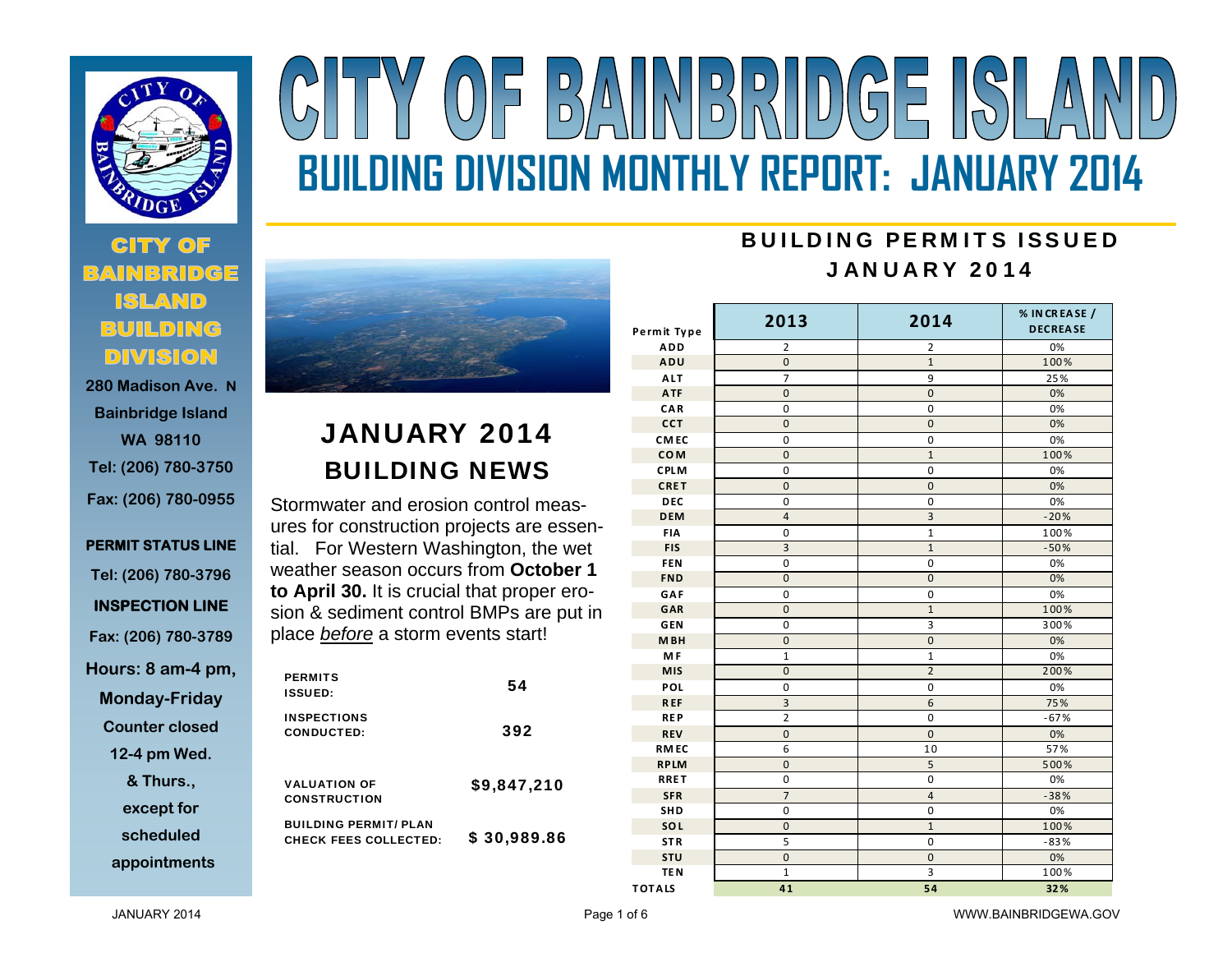

# **280 Madison Ave. N**

**Bainbridge Island WA 98110 Tel: (206) 780-3750 Fax: (206) 780-0955** 

**PERMIT STATUS LINE Tel: (206) 780-3796 INSPECTION LINE Fax: (206) 780-3789 Hours: 8 am-4 pm, Monday-Friday** 

**Counter closed** 

**12-4 pm Wed.** 

**& Thurs., except for** 

**scheduled** 

**appointments**



### JANUARY 2014 BUILDING NEWS

Stormwater and erosion control measures for construction projects are essential. For Western Washington, the wet weather season occurs from **October 1 to April 30.** It is crucial that proper erosion & sediment control BMPs are put in place *before* a storm events start!

| <b>PERMITS</b><br><b>ISSUED:</b>                             | 54          |
|--------------------------------------------------------------|-------------|
| <b>INSPECTIONS</b><br><b>CONDUCTED:</b>                      | 392         |
| <b>VALUATION OF</b><br><b>CONSTRUCTION</b>                   | \$9,847,210 |
| <b>BUILDING PERMIT/ PLAN</b><br><b>CHECK FEES COLLECTED:</b> | \$30,989.86 |

## $(0)$  = B) NINDRUDICE ISLA **BUILDING DIVISION MONTHLY REPORT: JANUARY 2014**

#### BUILDING PERMITS ISSUEDJANUARY 2014

| Permit Type      | 2013           | 2014           | % IN CREASE /<br><b>DECREASE</b> |  |
|------------------|----------------|----------------|----------------------------------|--|
| <b>ADD</b>       | 2              | 2              | 0%                               |  |
| ADU              | $\mathbf 0$    | $\mathbf{1}$   | 100%                             |  |
| <b>ALT</b>       | $\overline{7}$ | 9              | 25%                              |  |
| <b>ATF</b>       | $\mathbf 0$    | $\mathbf 0$    | 0%                               |  |
| CAR              | 0              | 0              | 0%                               |  |
| <b>CCT</b>       | $\mathbf 0$    | $\mathbf 0$    | 0%                               |  |
| CM <sub>EC</sub> | $\pmb{0}$      | $\pmb{0}$      | 0%                               |  |
| <b>COM</b>       | 0              | $\mathbf{1}$   | 100%                             |  |
| <b>CPLM</b>      | 0              | 0              | 0%                               |  |
| CRET             | $\overline{0}$ | 0              | 0%                               |  |
| <b>DEC</b>       | $\pmb{0}$      | $\pmb{0}$      | 0%                               |  |
| <b>DEM</b>       | $\overline{4}$ | 3              | $-20%$                           |  |
| <b>FIA</b>       | 0              | $\mathbf{1}$   | 100%                             |  |
| <b>FIS</b>       | 3              | $\mathbf{1}$   | $-50%$                           |  |
| FEN              | 0              | $\pmb{0}$      | 0%                               |  |
| <b>FND</b>       | $\overline{0}$ | $\overline{0}$ | 0%                               |  |
| GAF              | $\mathbf 0$    | $\pmb{0}$      | 0%                               |  |
| GAR              | $\mathbf 0$    | $\overline{1}$ | 100%                             |  |
| <b>GEN</b>       | 0              | 3              | 300%                             |  |
| M <sub>BH</sub>  | $\overline{0}$ | $\mathbf 0$    | 0%                               |  |
| M <sub>F</sub>   | $\mathbf{1}$   | $\mathbf{1}$   | 0%                               |  |
| <b>MIS</b>       | $\mathbf 0$    | $\overline{2}$ | 200%                             |  |
| POL              | $\pmb{0}$      | 0              | 0%                               |  |
| <b>REF</b>       | 3              | 6              | 75%                              |  |
| <b>REP</b>       | $\overline{2}$ | $\mathbf 0$    | $-67%$                           |  |
| <b>REV</b>       | $\mathbf 0$    | $\mathbf 0$    | 0%                               |  |
| <b>RMEC</b>      | 6              | 10             | 57%                              |  |
| <b>RPLM</b>      | $\mathbf 0$    | 5              | 500%                             |  |
| <b>RRET</b>      | $\mathbf 0$    | $\pmb{0}$      | 0%                               |  |
| <b>SFR</b>       | $\overline{7}$ | $\sqrt{4}$     | $-38%$                           |  |
| SHD              | 0              | 0              | 0%                               |  |
| SOL              | 0              | $\mathbf{1}$   | 100%                             |  |
| <b>STR</b>       | 5              | $\pmb{0}$      | $-83%$                           |  |
| <b>STU</b>       | $\pmb{0}$      | $\pmb{0}$      | 0%                               |  |
| TE <sub>N</sub>  | $\mathbf 1$    | 3              | 100%                             |  |
| <b>TOTALS</b>    | 41             | 54             | 32%                              |  |

JANUARY 2014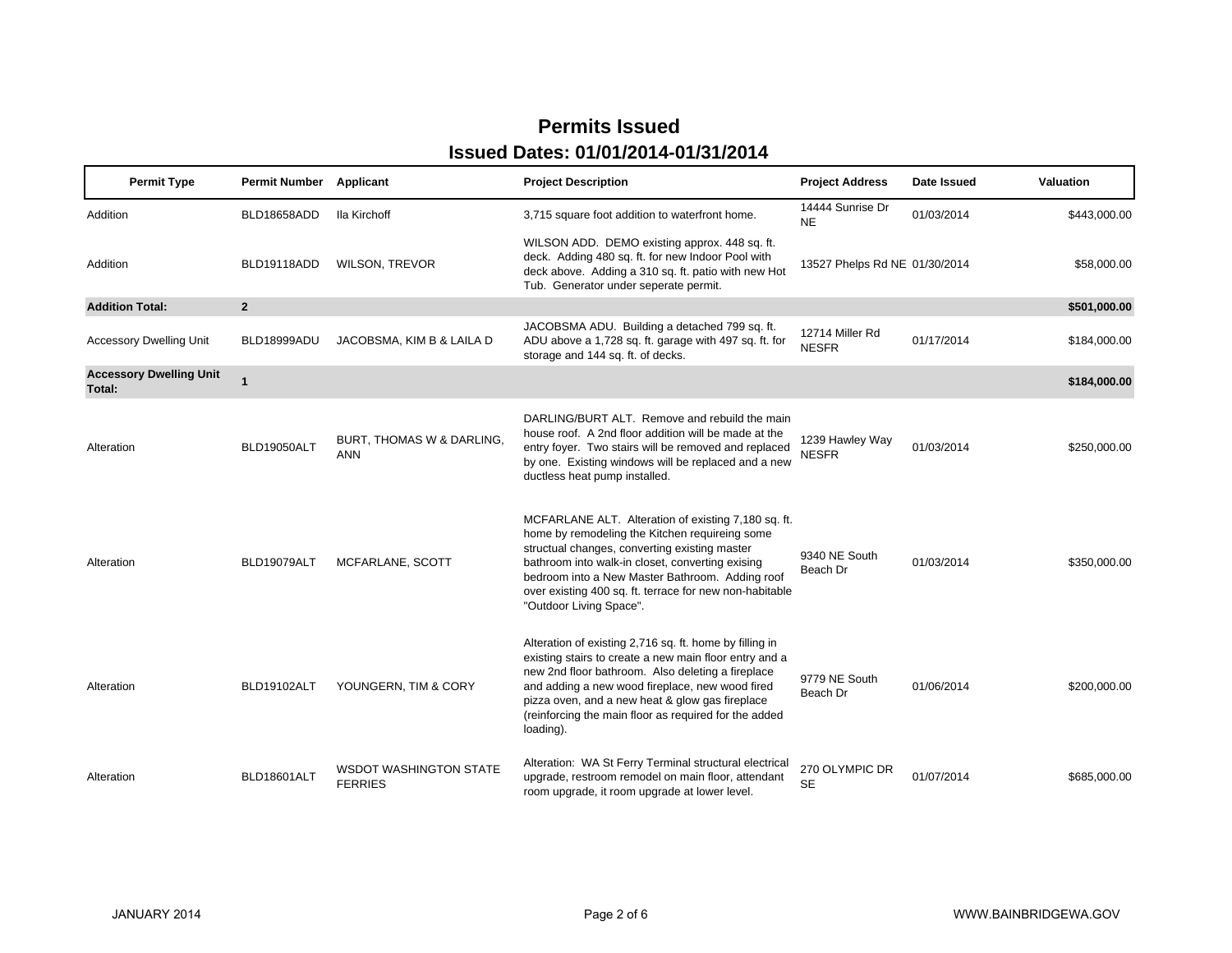| <b>Permit Type</b>                       | <b>Permit Number</b> | Applicant                                       | <b>Project Description</b>                                                                                                                                                                                                                                                                                                                          | <b>Project Address</b>          | Date Issued | Valuation    |
|------------------------------------------|----------------------|-------------------------------------------------|-----------------------------------------------------------------------------------------------------------------------------------------------------------------------------------------------------------------------------------------------------------------------------------------------------------------------------------------------------|---------------------------------|-------------|--------------|
| Addition                                 | BLD18658ADD          | Ila Kirchoff                                    | 3,715 square foot addition to waterfront home.                                                                                                                                                                                                                                                                                                      | 14444 Sunrise Dr<br><b>NE</b>   | 01/03/2014  | \$443,000.00 |
| Addition                                 | BLD19118ADD          | <b>WILSON, TREVOR</b>                           | WILSON ADD. DEMO existing approx. 448 sq. ft.<br>deck. Adding 480 sq. ft. for new Indoor Pool with<br>deck above. Adding a 310 sq. ft. patio with new Hot<br>Tub. Generator under seperate permit.                                                                                                                                                  | 13527 Phelps Rd NE 01/30/2014   |             | \$58,000.00  |
| <b>Addition Total:</b>                   | $\overline{2}$       |                                                 |                                                                                                                                                                                                                                                                                                                                                     |                                 |             | \$501,000.00 |
| <b>Accessory Dwelling Unit</b>           | BLD18999ADU          | JACOBSMA, KIM B & LAILA D                       | JACOBSMA ADU. Building a detached 799 sq. ft.<br>ADU above a 1,728 sq. ft. garage with 497 sq. ft. for<br>storage and 144 sq. ft. of decks.                                                                                                                                                                                                         | 12714 Miller Rd<br><b>NESFR</b> | 01/17/2014  | \$184,000.00 |
| <b>Accessory Dwelling Unit</b><br>Total: | $\mathbf{1}$         |                                                 |                                                                                                                                                                                                                                                                                                                                                     |                                 |             | \$184,000.00 |
| Alteration                               | BLD19050ALT          | BURT, THOMAS W & DARLING,<br><b>ANN</b>         | DARLING/BURT ALT. Remove and rebuild the main<br>house roof. A 2nd floor addition will be made at the<br>entry foyer. Two stairs will be removed and replaced<br>by one. Existing windows will be replaced and a new<br>ductless heat pump installed.                                                                                               | 1239 Hawley Way<br><b>NESFR</b> | 01/03/2014  | \$250,000.00 |
| Alteration                               | BLD19079ALT          | MCFARLANE, SCOTT                                | MCFARLANE ALT. Alteration of existing 7,180 sq. ft.<br>home by remodeling the Kitchen requireing some<br>structual changes, converting existing master<br>bathroom into walk-in closet, converting exising<br>bedroom into a New Master Bathroom. Adding roof<br>over existing 400 sq. ft. terrace for new non-habitable<br>"Outdoor Living Space". | 9340 NE South<br>Beach Dr       | 01/03/2014  | \$350,000.00 |
| Alteration                               | BLD19102ALT          | YOUNGERN, TIM & CORY                            | Alteration of existing 2,716 sq. ft. home by filling in<br>existing stairs to create a new main floor entry and a<br>new 2nd floor bathroom. Also deleting a fireplace<br>and adding a new wood fireplace, new wood fired<br>pizza oven, and a new heat & glow gas fireplace<br>(reinforcing the main floor as required for the added<br>loading).  | 9779 NE South<br>Beach Dr       | 01/06/2014  | \$200,000.00 |
| Alteration                               | BLD18601ALT          | <b>WSDOT WASHINGTON STATE</b><br><b>FERRIES</b> | Alteration: WA St Ferry Terminal structural electrical<br>upgrade, restroom remodel on main floor, attendant<br>room upgrade, it room upgrade at lower level.                                                                                                                                                                                       | 270 OLYMPIC DR<br><b>SE</b>     | 01/07/2014  | \$685,000.00 |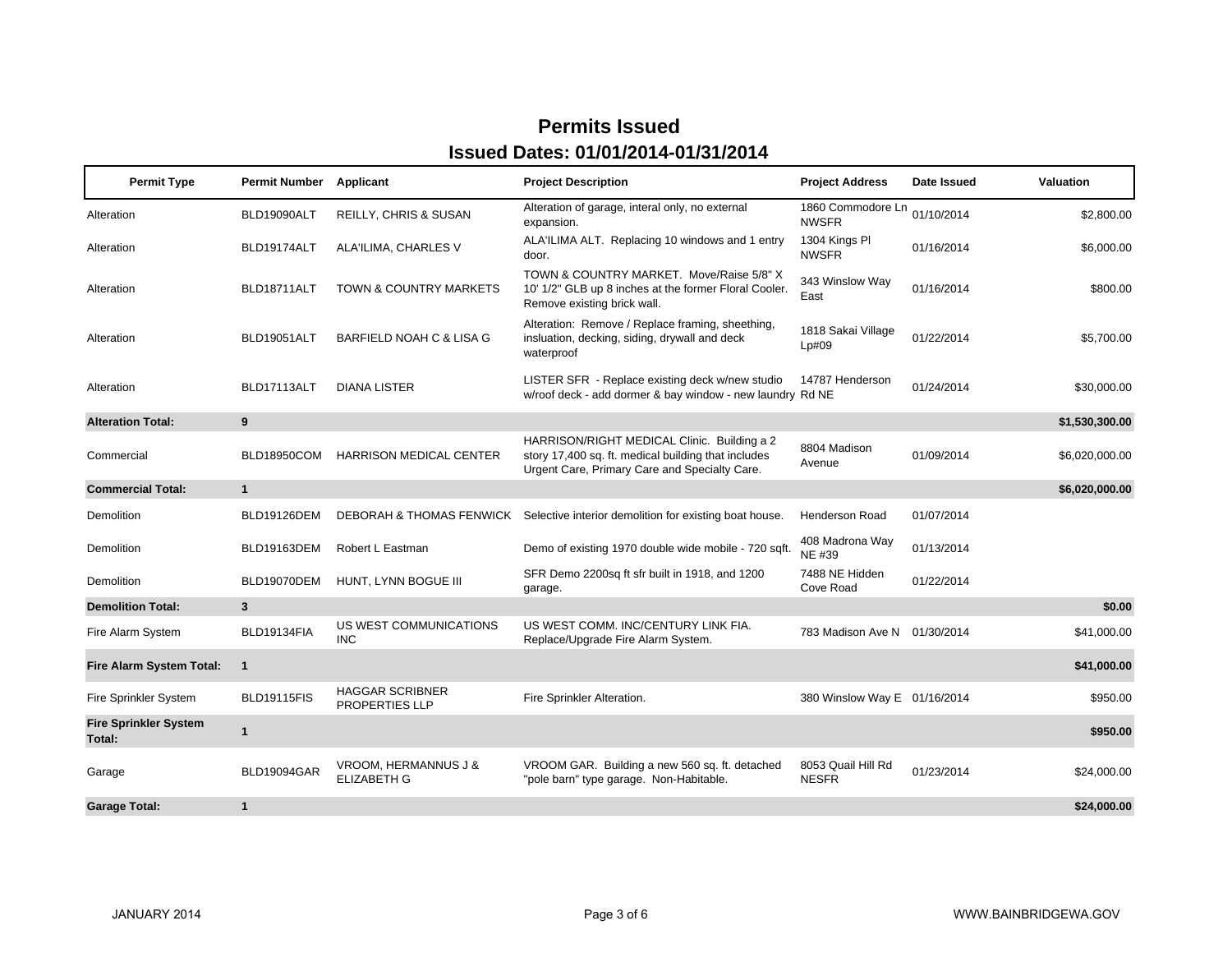| <b>Permit Type</b>                     | <b>Permit Number</b> | Applicant                                       | <b>Project Description</b>                                                                                                                          | <b>Project Address</b>             | Date Issued | Valuation      |
|----------------------------------------|----------------------|-------------------------------------------------|-----------------------------------------------------------------------------------------------------------------------------------------------------|------------------------------------|-------------|----------------|
| Alteration                             | BLD19090ALT          | <b>REILLY, CHRIS &amp; SUSAN</b>                | Alteration of garage, interal only, no external<br>expansion.                                                                                       | 1860 Commodore Ln<br><b>NWSFR</b>  | 01/10/2014  | \$2,800.00     |
| Alteration                             | BLD19174ALT          | ALA'ILIMA, CHARLES V                            | ALA'ILIMA ALT. Replacing 10 windows and 1 entry<br>door.                                                                                            | 1304 Kings Pl<br><b>NWSFR</b>      | 01/16/2014  | \$6,000.00     |
| Alteration                             | BLD18711ALT          | <b>TOWN &amp; COUNTRY MARKETS</b>               | TOWN & COUNTRY MARKET. Move/Raise 5/8" X<br>10' 1/2" GLB up 8 inches at the former Floral Cooler.<br>Remove existing brick wall.                    | 343 Winslow Way<br>East            | 01/16/2014  | \$800.00       |
| Alteration                             | BLD19051ALT          | <b>BARFIELD NOAH C &amp; LISA G</b>             | Alteration: Remove / Replace framing, sheething,<br>insluation, decking, siding, drywall and deck<br>waterproof                                     | 1818 Sakai Village<br>Lp#09        | 01/22/2014  | \$5,700.00     |
| Alteration                             | BLD17113ALT          | <b>DIANA LISTER</b>                             | LISTER SFR - Replace existing deck w/new studio<br>w/roof deck - add dormer & bay window - new laundry Rd NE                                        | 14787 Henderson                    | 01/24/2014  | \$30,000.00    |
| <b>Alteration Total:</b>               | 9                    |                                                 |                                                                                                                                                     |                                    |             | \$1,530,300.00 |
| Commercial                             | BLD18950COM          | <b>HARRISON MEDICAL CENTER</b>                  | HARRISON/RIGHT MEDICAL Clinic. Building a 2<br>story 17,400 sq. ft. medical building that includes<br>Urgent Care, Primary Care and Specialty Care. | 8804 Madison<br>Avenue             | 01/09/2014  | \$6,020,000.00 |
| <b>Commercial Total:</b>               | $\mathbf{1}$         |                                                 |                                                                                                                                                     |                                    |             | \$6,020,000.00 |
| Demolition                             | BLD19126DEM          |                                                 | DEBORAH & THOMAS FENWICK Selective interior demolition for existing boat house.                                                                     | <b>Henderson Road</b>              | 01/07/2014  |                |
| <b>Demolition</b>                      | BLD19163DEM          | Robert L Eastman                                | Demo of existing 1970 double wide mobile - 720 sqft.                                                                                                | 408 Madrona Way<br>NE #39          | 01/13/2014  |                |
| Demolition                             | BLD19070DEM          | HUNT, LYNN BOGUE III                            | SFR Demo 2200sq ft sfr built in 1918, and 1200<br>garage.                                                                                           | 7488 NE Hidden<br>Cove Road        | 01/22/2014  |                |
| <b>Demolition Total:</b>               | 3                    |                                                 |                                                                                                                                                     |                                    |             | \$0.00         |
| Fire Alarm System                      | BLD19134FIA          | US WEST COMMUNICATIONS<br><b>INC</b>            | US WEST COMM. INC/CENTURY LINK FIA.<br>Replace/Upgrade Fire Alarm System.                                                                           | 783 Madison Ave N 01/30/2014       |             | \$41,000.00    |
| <b>Fire Alarm System Total:</b>        | $\mathbf{1}$         |                                                 |                                                                                                                                                     |                                    |             | \$41,000.00    |
| Fire Sprinkler System                  | BLD19115FIS          | <b>HAGGAR SCRIBNER</b><br><b>PROPERTIES LLP</b> | Fire Sprinkler Alteration.                                                                                                                          | 380 Winslow Way E 01/16/2014       |             | \$950.00       |
| <b>Fire Sprinkler System</b><br>Total: | $\mathbf{1}$         |                                                 |                                                                                                                                                     |                                    |             | \$950.00       |
| Garage                                 | BLD19094GAR          | VROOM, HERMANNUS J &<br><b>ELIZABETH G</b>      | VROOM GAR. Building a new 560 sq. ft. detached<br>"pole barn" type garage. Non-Habitable.                                                           | 8053 Quail Hill Rd<br><b>NESFR</b> | 01/23/2014  | \$24,000.00    |
| <b>Garage Total:</b>                   | $\mathbf{1}$         |                                                 |                                                                                                                                                     |                                    |             | \$24,000.00    |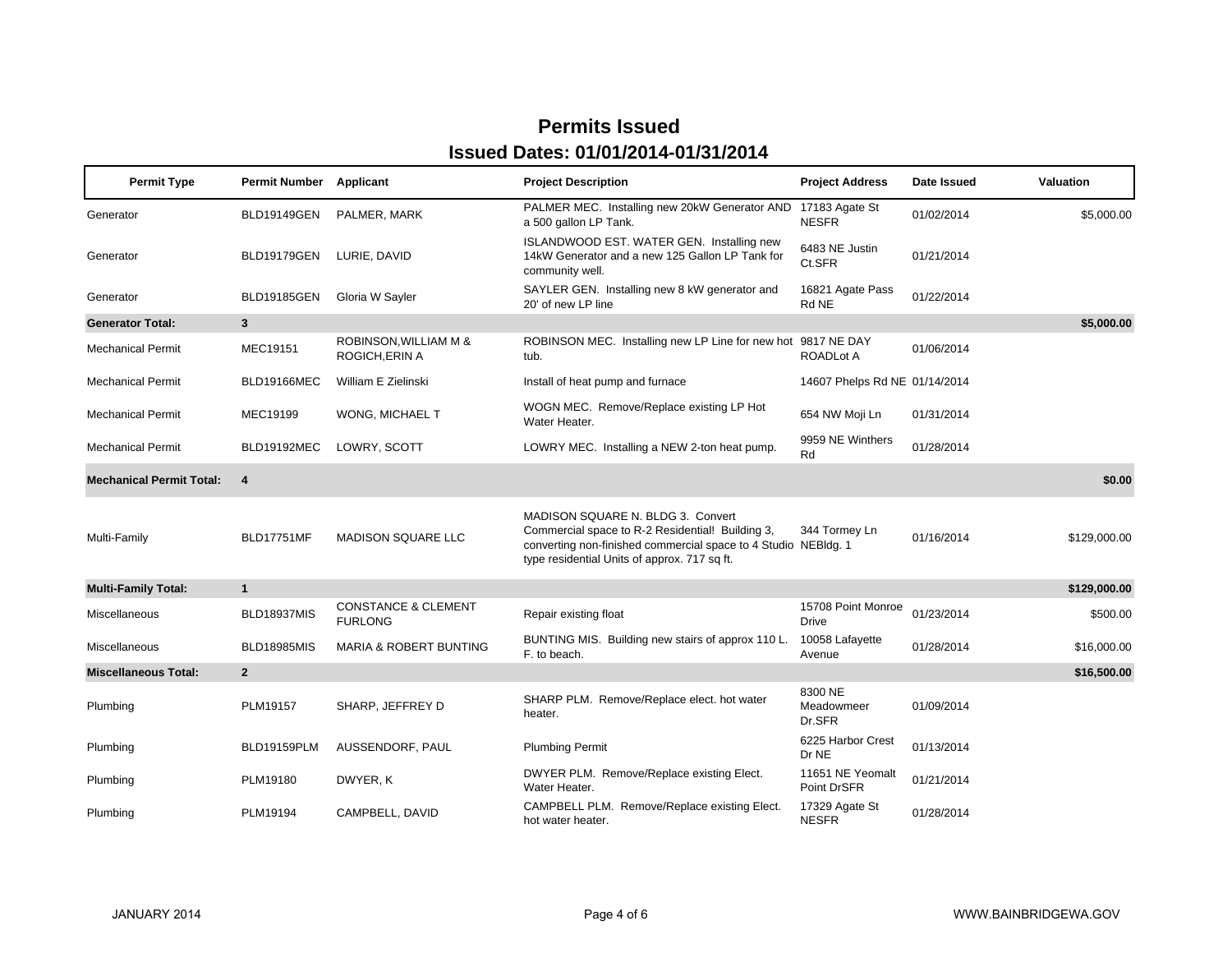#### **Permit Type Permit Number Applicant Project Description Project Address Date Issued Valuation Generator** BLD19149GEN PALMER, MARK PALMER MEC. Installing new 20kW Generator AND 17183 Agate St 01/02/2014 \$5,000.00<br>a 500 gallon LP Tank. NESFR NESFR 01/02/2014 **Generator**  BLD19179GEN LURIE, DAVID ISLANDWOOD EST. WATER GEN. Installing new 14kW Generator and a new 125 Gallon LP Tank for community well. 6483 NE Justin Ct.SFR 01/21/2014 **Generator**  BLD19185GEN Gloria W Sayler SAYLER GEN. Installing new 8 kW generator and 20' of new LP line 16821 Agate Pass Rd NE16821 Agate Pass 01/22/2014<br>Rd NE **Generator Total: 3 \$5,000.00** Mechanical Permit MEC19151ROBINSON,WILLIAM M & ROBINSON MEC. Installing new LP Line for new hot 9817 NE DAY 01/06/2014<br>ROGICH,ERIN A dub. bub. 9817 NCADLot A Mechanical PermitBLD19166MEC William E Zielinski **Install of heat pump and furnace** 14607 Phelps Rd NE 01/14/2014 Mechanical PermitMEC19199 WONG, MICHAEL T WOGN MEC. Remove/Replace existing LP Hot Water Heater. 654 NW Moji Ln 01/31/2014 Mechanical PermitBLD19192MEC LOWRY, SCOTT LOWRY MEC. Installing a NEW 2-ton heat pump. 9959 NE Winthers 01/28/2014 **Mechanical Permit Total: 4 \$0.00** Multi-Family BLD17751MF MADISON SQUARE LLC MADISON SQUARE N. BLDG 3. Convert Commercial space to R-2 Residential! Building 3, converting non-finished commercial space to 4 Studio type residential Units of approx. 717 sq ft. 344 Tormey Ln NEBldg. 1 01/16/2014 \$129,000.00 **Multi-Family Total: 1 \$129,000.00** Miscellaneous BLD18937MIS CONSTANCE & CLEMENT FURLONGNCE & CLEMENT Repair existing float 15708 Point Monroe <sub>01/23/2014</sub> \$500.00<br>G Miscellaneous BLD18985MIS MARIA & ROBERT BUNTINGBUNTING MIS. Building new stairs of approx 110 L. 10058 Lafayette <br>F. to beach. 10058 Ryenue 01/28/2014 \$16,000.00 **Miscellaneous Total: 2 \$16,500.00** Plumbing PLM19157 SHARP, JEFFREY D SHARP PLM. Remove/Replace elect. hot water heater. 8300 NE Meadowmeer Dr.SFRMeadowmeer 01/09/2014<br>Dr.SFR Plumbing BLD19159PLM AUSSENDORF, PAUL Plumbing Permit 6225 Harbor Crest Dr NE6225 Harbor Crest 01/13/2014 Plumbing PLM19180 DWYER, K DWYER PLM. Remove/Replace existing Elect. Water Heater. 11651 NE Yeomalt Point DrSFR11651 NE Yeomalt<br>Point DrSFR 01/21/2014 Plumbing PLM19194 CAMPBELL, DAVID CAMPBELL PLM. Remove/Replace existing Elect. hot water heater. 17329 Agate St NESFR01/28/2014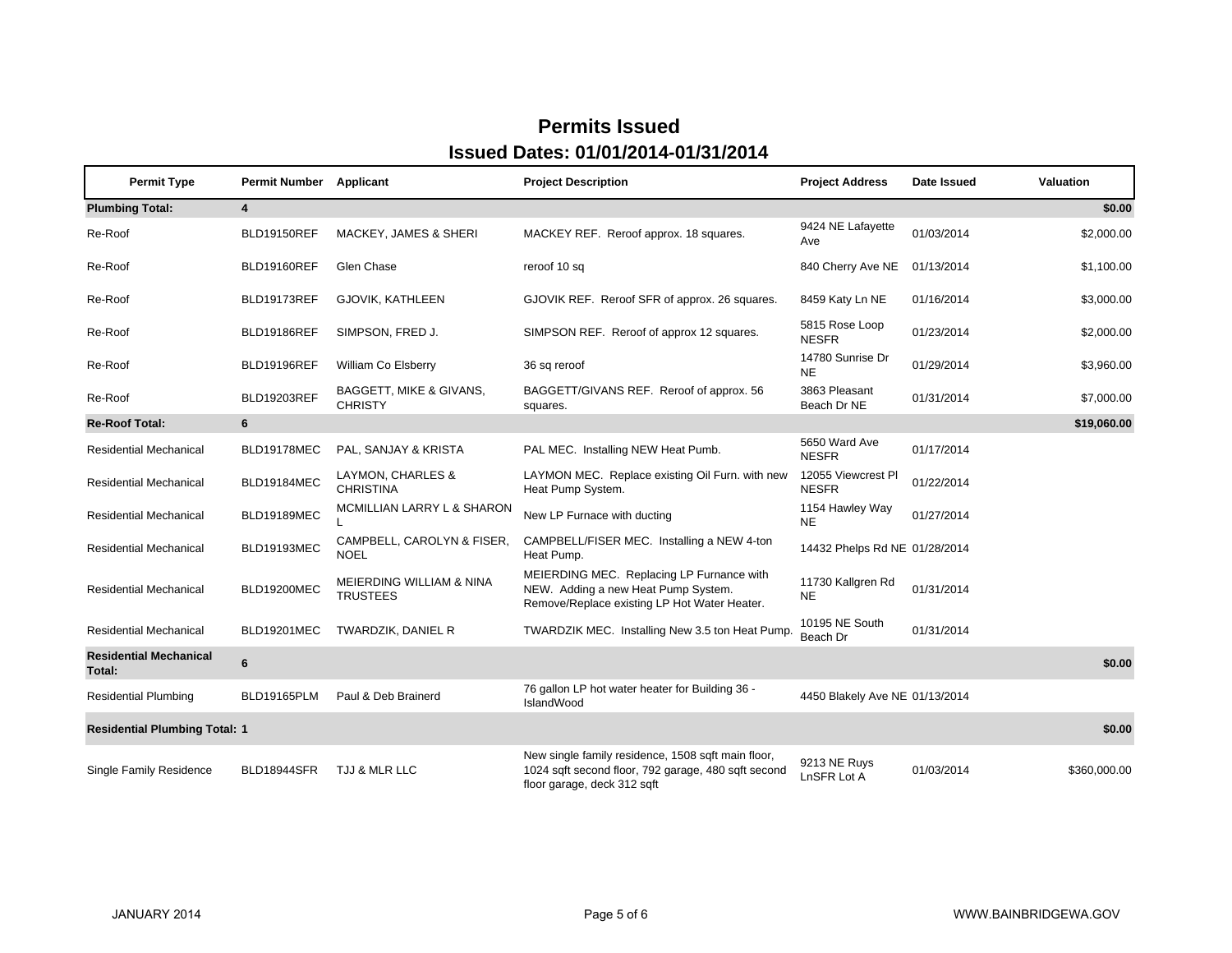| <b>Permit Type</b>                             | <b>Permit Number Applicant</b> |                                             | <b>Project Description</b>                                                                                                               | <b>Project Address</b>             | Date Issued | Valuation    |
|------------------------------------------------|--------------------------------|---------------------------------------------|------------------------------------------------------------------------------------------------------------------------------------------|------------------------------------|-------------|--------------|
| <b>Plumbing Total:</b>                         | $\overline{\mathbf{4}}$        |                                             |                                                                                                                                          |                                    |             | \$0.00       |
| Re-Roof                                        | BLD19150REF                    | <b>MACKEY, JAMES &amp; SHERI</b>            | MACKEY REF. Reroof approx. 18 squares.                                                                                                   | 9424 NE Lafayette<br>Ave           | 01/03/2014  | \$2,000.00   |
| Re-Roof                                        | BLD19160REF                    | Glen Chase                                  | reroof 10 sq                                                                                                                             | 840 Cherry Ave NE                  | 01/13/2014  | \$1,100.00   |
| Re-Roof                                        | BLD19173REF                    | GJOVIK, KATHLEEN                            | GJOVIK REF. Reroof SFR of approx. 26 squares.                                                                                            | 8459 Katy Ln NE                    | 01/16/2014  | \$3,000.00   |
| Re-Roof                                        | BLD19186REF                    | SIMPSON, FRED J.                            | SIMPSON REF. Reroof of approx 12 squares.                                                                                                | 5815 Rose Loop<br><b>NESFR</b>     | 01/23/2014  | \$2,000.00   |
| Re-Roof                                        | BLD19196REF                    | William Co Elsberry                         | 36 sq reroof                                                                                                                             | 14780 Sunrise Dr<br><b>NE</b>      | 01/29/2014  | \$3,960.00   |
| Re-Roof                                        | BLD19203REF                    | BAGGETT, MIKE & GIVANS,<br><b>CHRISTY</b>   | BAGGETT/GIVANS REF. Reroof of approx. 56<br>squares.                                                                                     | 3863 Pleasant<br>Beach Dr NE       | 01/31/2014  | \$7,000.00   |
| <b>Re-Roof Total:</b>                          | 6                              |                                             |                                                                                                                                          |                                    |             | \$19,060.00  |
| <b>Residential Mechanical</b>                  | BLD19178MEC                    | PAL, SANJAY & KRISTA                        | PAL MEC. Installing NEW Heat Pumb.                                                                                                       | 5650 Ward Ave<br><b>NESFR</b>      | 01/17/2014  |              |
| <b>Residential Mechanical</b>                  | BLD19184MEC                    | LAYMON, CHARLES &<br><b>CHRISTINA</b>       | LAYMON MEC. Replace existing Oil Furn. with new<br>Heat Pump System.                                                                     | 12055 Viewcrest PI<br><b>NESFR</b> | 01/22/2014  |              |
| <b>Residential Mechanical</b>                  | <b>BLD19189MEC</b>             | MCMILLIAN LARRY L & SHARON                  | New LP Furnace with ducting                                                                                                              | 1154 Hawley Way<br><b>NE</b>       | 01/27/2014  |              |
| <b>Residential Mechanical</b>                  | BLD19193MEC                    | CAMPBELL, CAROLYN & FISER,<br><b>NOEL</b>   | CAMPBELL/FISER MEC. Installing a NEW 4-ton<br>Heat Pump.                                                                                 | 14432 Phelps Rd NE 01/28/2014      |             |              |
| <b>Residential Mechanical</b>                  | <b>BLD19200MEC</b>             | MEIERDING WILLIAM & NINA<br><b>TRUSTEES</b> | MEIERDING MEC. Replacing LP Furnance with<br>NEW. Adding a new Heat Pump System.<br>Remove/Replace existing LP Hot Water Heater.         | 11730 Kallgren Rd<br><b>NE</b>     | 01/31/2014  |              |
| <b>Residential Mechanical</b>                  | <b>BLD19201MEC</b>             | TWARDZIK, DANIEL R                          | TWARDZIK MEC. Installing New 3.5 ton Heat Pump.                                                                                          | 10195 NE South<br>Beach Dr         | 01/31/2014  |              |
| <b>Residential Mechanical</b><br>Total:        | 6                              |                                             |                                                                                                                                          |                                    |             | \$0.00       |
| <b>Residential Plumbing</b>                    | BLD19165PLM                    | Paul & Deb Brainerd                         | 76 gallon LP hot water heater for Building 36 -<br>IslandWood                                                                            | 4450 Blakely Ave NE 01/13/2014     |             |              |
| \$0.00<br><b>Residential Plumbing Total: 1</b> |                                |                                             |                                                                                                                                          |                                    |             |              |
| <b>Single Family Residence</b>                 | <b>BLD18944SFR</b>             | TJJ & MLR LLC                               | New single family residence, 1508 sqft main floor,<br>1024 sqft second floor, 792 garage, 480 sqft second<br>floor garage, deck 312 sqft | 9213 NE Ruys<br>LnSFR Lot A        | 01/03/2014  | \$360,000.00 |